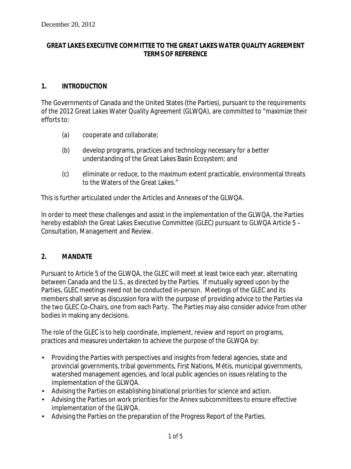#### **GREAT LAKES EXECUTIVE COMMITTEE TO THE GREAT LAKES WATER QUALITY AGREEMENT TERMS OF REFERENCE**

#### **1. INTRODUCTION**

The Governments of Canada and the United States (the Parties), pursuant to the requirements of the 2012 *Great Lakes Water Quality Agreement* (*GLWQA*), are committed to "maximize their efforts to:

- (a) cooperate and collaborate;
- (b) develop programs, practices and technology necessary for a better understanding of the Great Lakes Basin Ecosystem; and
- (c) eliminate or reduce, to the maximum extent practicable, environmental threats to the Waters of the Great Lakes."

This is further articulated under the Articles and Annexes of the GLWQA.

In order to meet these challenges and assist in the implementation of the *GLWQA*, the Parties hereby establish the Great Lakes Executive Committee (GLEC) pursuant to *GLWQA Article 5 – Consultation, Management and Review*.

#### **2. MANDATE**

Pursuant to *Article 5* of the *GLWQA*, the GLEC will meet at least twice each year, alternating between Canada and the U.S., as directed by the Parties. If mutually agreed upon by the Parties, GLEC meetings need not be conducted in-person. Meetings of the GLEC and its members shall serve as discussion *fora* with the purpose of providing advice to the Parties via the two GLEC Co-Chairs, one from each Party. The Parties may also consider advice from other bodies in making any decisions.

The role of the GLEC is to help coordinate, implement, review and report on programs, practices and measures undertaken to achieve the purpose of the GLWQA by:

- Providing the Parties with perspectives and insights from federal agencies, state and provincial governments, tribal governments, First Nations, Métis, municipal governments, watershed management agencies, and local public agencies on issues relating to the implementation of the *GLWQA*.
- Advising the Parties on establishing binational priorities for science and action.
- Advising the Parties on work priorities for the Annex subcommittees to ensure effective implementation of the *GLWQA*.
- Advising the Parties on the preparation of the *Progress Report of the Parties*.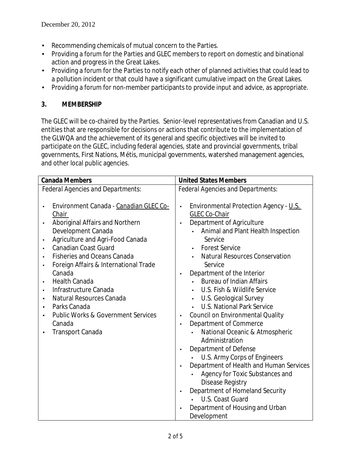- Recommending chemicals of mutual concern to the Parties.
- Providing a forum for the Parties and GLEC members to report on domestic and binational  $\mathbf{r}$ action and progress in the Great Lakes.
- $\mathbf{L}$ Providing a forum for the Parties to notify each other of planned activities that could lead to a pollution incident or that could have a significant cumulative impact on the Great Lakes.
- Providing a forum for non-member participants to provide input and advice, as appropriate. ä,

### **3. MEMBERSHIP**

The GLEC will be co-chaired by the Parties. Senior-level representatives from Canadian and U.S. entities that are responsible for decisions or actions that contribute to the implementation of the GLWQA and the achievement of its general and specific objectives will be invited to participate on the GLEC, including federal agencies, state and provincial governments, tribal governments, First Nations, Métis, municipal governments, watershed management agencies, and other local public agencies.

| <b>Canada Members</b>                                                                                                                                                                                                                                                | <b>United States Members</b>                                                                                                                                                                                                                                                 |
|----------------------------------------------------------------------------------------------------------------------------------------------------------------------------------------------------------------------------------------------------------------------|------------------------------------------------------------------------------------------------------------------------------------------------------------------------------------------------------------------------------------------------------------------------------|
| <b>Federal Agencies and Departments:</b>                                                                                                                                                                                                                             | <b>Federal Agencies and Departments:</b>                                                                                                                                                                                                                                     |
| Environment Canada - Canadian GLEC Co-<br>Chair<br>Aboriginal Affairs and Northern<br>Development Canada<br>Agriculture and Agri-Food Canada<br><b>Canadian Coast Guard</b><br><b>Fisheries and Oceans Canada</b><br>Foreign Affairs & International Trade<br>Canada | Environmental Protection Agency - U.S.<br>l,<br>GLEC Co-Chair<br>Department of Agriculture<br>Animal and Plant Health Inspection<br>Service<br><b>Forest Service</b><br>$\mathbf{r}$<br><b>Natural Resources Conservation</b><br>Service<br>Department of the Interior<br>×, |
| <b>Health Canada</b>                                                                                                                                                                                                                                                 | <b>Bureau of Indian Affairs</b>                                                                                                                                                                                                                                              |
| Infrastructure Canada<br>Natural Resources Canada                                                                                                                                                                                                                    | U.S. Fish & Wildlife Service<br>U.S. Geological Survey                                                                                                                                                                                                                       |
| Parks Canada                                                                                                                                                                                                                                                         | <b>U.S. National Park Service</b>                                                                                                                                                                                                                                            |
| <b>Public Works &amp; Government Services</b>                                                                                                                                                                                                                        | <b>Council on Environmental Quality</b><br>ä,                                                                                                                                                                                                                                |
| Canada                                                                                                                                                                                                                                                               | Department of Commerce<br>ä,                                                                                                                                                                                                                                                 |
| <b>Transport Canada</b>                                                                                                                                                                                                                                              | National Oceanic & Atmospheric                                                                                                                                                                                                                                               |
|                                                                                                                                                                                                                                                                      | Administration                                                                                                                                                                                                                                                               |
|                                                                                                                                                                                                                                                                      | Department of Defense<br>×,                                                                                                                                                                                                                                                  |
|                                                                                                                                                                                                                                                                      | U.S. Army Corps of Engineers                                                                                                                                                                                                                                                 |
|                                                                                                                                                                                                                                                                      | Department of Health and Human Services                                                                                                                                                                                                                                      |
|                                                                                                                                                                                                                                                                      | Agency for Toxic Substances and                                                                                                                                                                                                                                              |
|                                                                                                                                                                                                                                                                      | Disease Registry                                                                                                                                                                                                                                                             |
|                                                                                                                                                                                                                                                                      | Department of Homeland Security<br>×,                                                                                                                                                                                                                                        |
|                                                                                                                                                                                                                                                                      | U.S. Coast Guard                                                                                                                                                                                                                                                             |
|                                                                                                                                                                                                                                                                      | Department of Housing and Urban                                                                                                                                                                                                                                              |
|                                                                                                                                                                                                                                                                      | Development                                                                                                                                                                                                                                                                  |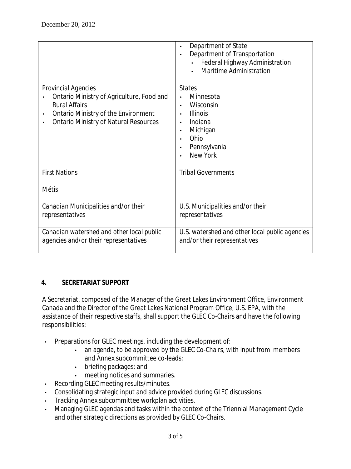|                                                                                                                                                                                 | Department of State<br>Department of Transportation<br>Federal Highway Administration<br><b>Maritime Administration</b>      |
|---------------------------------------------------------------------------------------------------------------------------------------------------------------------------------|------------------------------------------------------------------------------------------------------------------------------|
| Provincial Agencies<br>Ontario Ministry of Agriculture, Food and<br><b>Rural Affairs</b><br>Ontario Ministry of the Environment<br><b>Ontario Ministry of Natural Resources</b> | <b>States</b><br>Minnesota<br>Wisconsin<br><b>Illinois</b><br>Indiana<br>Michigan<br>Ohio<br>Pennsylvania<br><b>New York</b> |
| <b>First Nations</b><br>Métis                                                                                                                                                   | <b>Tribal Governments</b>                                                                                                    |
| Canadian Municipalities and/or their<br>representatives                                                                                                                         | U.S. Municipalities and/or their<br>representatives                                                                          |
| Canadian watershed and other local public<br>agencies and/or their representatives                                                                                              | U.S. watershed and other local public agencies<br>and/or their representatives                                               |

## **4. SECRETARIAT SUPPORT**

A Secretariat, composed of the Manager of the Great Lakes Environment Office, Environment Canada and the Director of the Great Lakes National Program Office, U.S. EPA, with the assistance of their respective staffs, shall support the GLEC Co-Chairs and have the following responsibilities:

- Preparations for GLEC meetings, including the development of:  $\ddot{\phantom{a}}$ 
	- an agenda, to be approved by the GLEC Co-Chairs, with input from members  $\mathcal{L}^{\mathcal{L}}$ and Annex subcommittee co-leads;
	- briefing packages; and  $\mathbf{r}$
	- meeting notices and summaries.
- Recording GLEC meeting results/minutes. t,
- Consolidating strategic input and advice provided during GLEC discussions.
- Tracking Annex subcommittee workplan activities. ÷.
- Managing GLEC agendas and tasks within the context of the Triennial Management Cycle l, and other strategic directions as provided by GLEC Co-Chairs.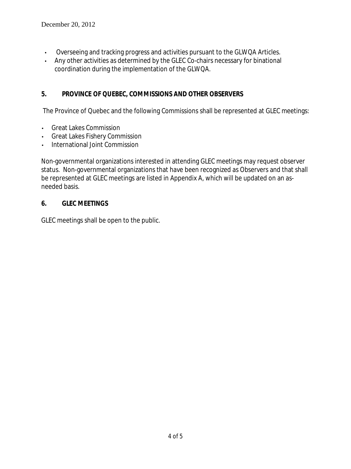- Overseeing and tracking progress and activities pursuant to the *GLWQA* Articles. l,
- Any other activities as determined by the GLEC Co-chairs necessary for binational  $\overline{a}$ coordination during the implementation of the *GLWQA*.

## **5. PROVINCE OF QUEBEC, COMMISSIONS AND OTHER OBSERVERS**

The Province of Quebec and the following Commissions shall be represented at GLEC meetings:

- Great Lakes Commission  $\mathbb{R}^2$
- Great Lakes Fishery Commission
- International Joint Commission

Non-governmental organizations interested in attending GLEC meetings may request observer status. Non-governmental organizations that have been recognized as Observers and that shall be represented at GLEC meetings are listed in Appendix A, which will be updated on an asneeded basis.

#### **6. GLEC MEETINGS**

GLEC meetings shall be open to the public.